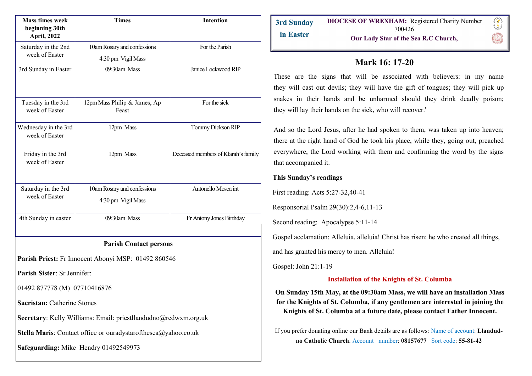| <b>Mass times week</b><br>beginning 30th<br><b>April, 2022</b> | <b>Times</b>                                                    | <b>Intention</b>                    |
|----------------------------------------------------------------|-----------------------------------------------------------------|-------------------------------------|
| Saturday in the 2nd<br>week of Easter                          | 10am Rosary and confessions<br>4:30 pm Vigil Mass               | For the Parish                      |
| 3rd Sunday in Easter                                           | 09:30am Mass                                                    | Janice Lockwood RIP                 |
| Tuesday in the 3rd<br>week of Easter                           | 12pm Mass Philip & James, Ap<br>Feast                           | For the sick                        |
| Wednesday in the 3rd<br>week of Easter                         | 12pm Mass                                                       | Tommy Dickson RIP                   |
| Friday in the 3rd<br>week of Easter                            | 12pm Mass                                                       | Deceased members of Klarah's family |
| Saturday in the 3rd<br>week of Easter                          | 10am Rosary and confessions<br>4:30 pm Vigil Mass               | Antonello Mosca int                 |
| 4th Sunday in easter                                           | 09:30am Mass                                                    | Fr Antony Jones Birthday            |
| <b>Parish Contact persons</b>                                  |                                                                 |                                     |
|                                                                | Parish Priest: Fr Innocent Abonyi MSP: 01492 860546             |                                     |
| Parish Sister: Sr Jennifer:                                    |                                                                 |                                     |
| 01492 877778 (M) 07710416876                                   |                                                                 |                                     |
| <b>Sacristan: Catherine Stones</b>                             |                                                                 |                                     |
|                                                                | Secretary: Kelly Williams: Email: priestllandudno@rcdwxm.org.uk |                                     |
|                                                                | Stella Maris: Contact office or ouradystarofthesea@yahoo.co.uk  |                                     |
| Safeguarding: Mike Hendry 01492549973                          |                                                                 |                                     |

# **Mark 16: 17-20**

These are the signs that [will](https://www.catholic.org/encyclopedia/view.php?id=12332) be associated with believers: in my name they [will](https://www.catholic.org/encyclopedia/view.php?id=12332) cast out devils; they [will](https://www.catholic.org/encyclopedia/view.php?id=12332) have the gift of tongues; they [will](https://www.catholic.org/encyclopedia/view.php?id=12332) pick up snakes in their hands and be unharmed should they drink deadly poison; they [will](https://www.catholic.org/encyclopedia/view.php?id=12332) lay their hands on the sick, who [will](https://www.catholic.org/encyclopedia/view.php?id=12332) recover.'

And so the [Lord](https://www.catholic.org/encyclopedia/view.php?id=5217) Jesus, after he had spoken to them, was taken up into heaven; there at the [right](https://www.catholic.org/encyclopedia/view.php?id=10046) hand of [God](https://www.catholic.org/encyclopedia/view.php?id=5217) he took his place, while they, going out, preached everywhere, the [Lord](https://www.catholic.org/encyclopedia/view.php?id=5217) working with them and confirming the word by the signs that accompanied it.

### **This Sunday's readings**

First reading: Acts 5:27-32,40-41

Responsorial Psalm 29(30):2,4-6,11-13

Second reading: Apocalypse 5:11-14

Gospel acclamation: Alleluia, alleluia! Christ has risen: he who created all things,

and has granted his mercy to men. Alleluia!

Gospel: John 21:1-19

## **Installation of the Knights of St. Columba**

**On Sunday 15th May, at the 09:30am Mass, we will have an installation Mass for the Knights of St. Columba, if any gentlemen are interested in joining the Knights of St. Columba at a future date, please contact Father Innocent.** 

If you prefer donating online our Bank details are as follows: Name of account: **Llandudno Catholic Church**. Account number: **08157677** Sort code: **55-81-42**